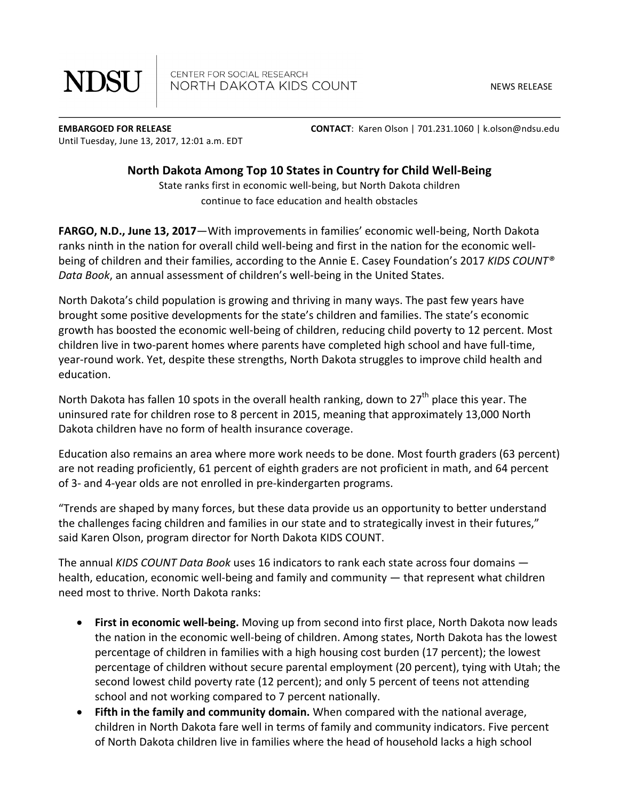**NDSU** 

CENTER FOR SOCIAL RESEARCH NORTH DAKOTA KIDS COUNT

NEWS RELEASE

Until Tuesday, June 13, 2017, 12:01 a.m. EDT

**EMBARGOED FOR RELEASE** *CONTACT:* **Karen Olson | 701.231.1060 | k.olson@ndsu.edu** 

## **North Dakota Among Top 10 States in Country for Child Well-Being**

State ranks first in economic well-being, but North Dakota children continue to face education and health obstacles

**FARGO, N.D., June 13, 2017**—With improvements in families' economic well-being, North Dakota ranks ninth in the nation for overall child well-being and first in the nation for the economic wellbeing of children and their families, according to the Annie E. Casey Foundation's 2017 *KIDS COUNT®* Data Book, an annual assessment of children's well-being in the United States.

North Dakota's child population is growing and thriving in many ways. The past few years have brought some positive developments for the state's children and families. The state's economic growth has boosted the economic well-being of children, reducing child poverty to 12 percent. Most children live in two-parent homes where parents have completed high school and have full-time, year-round work. Yet, despite these strengths, North Dakota struggles to improve child health and education.

North Dakota has fallen 10 spots in the overall health ranking, down to  $27<sup>th</sup>$  place this year. The uninsured rate for children rose to 8 percent in 2015, meaning that approximately 13,000 North Dakota children have no form of health insurance coverage.

Education also remains an area where more work needs to be done. Most fourth graders (63 percent) are not reading proficiently, 61 percent of eighth graders are not proficient in math, and 64 percent of 3- and 4-year olds are not enrolled in pre-kindergarten programs.

"Trends are shaped by many forces, but these data provide us an opportunity to better understand the challenges facing children and families in our state and to strategically invest in their futures," said Karen Olson, program director for North Dakota KIDS COUNT.

The annual *KIDS COUNT Data Book* uses 16 indicators to rank each state across four domains health, education, economic well-being and family and community  $-$  that represent what children need most to thrive. North Dakota ranks:

- First in economic well-being. Moving up from second into first place, North Dakota now leads the nation in the economic well-being of children. Among states, North Dakota has the lowest percentage of children in families with a high housing cost burden (17 percent); the lowest percentage of children without secure parental employment (20 percent), tying with Utah; the second lowest child poverty rate (12 percent); and only 5 percent of teens not attending school and not working compared to 7 percent nationally.
- Fifth in the family and community domain. When compared with the national average, children in North Dakota fare well in terms of family and community indicators. Five percent of North Dakota children live in families where the head of household lacks a high school